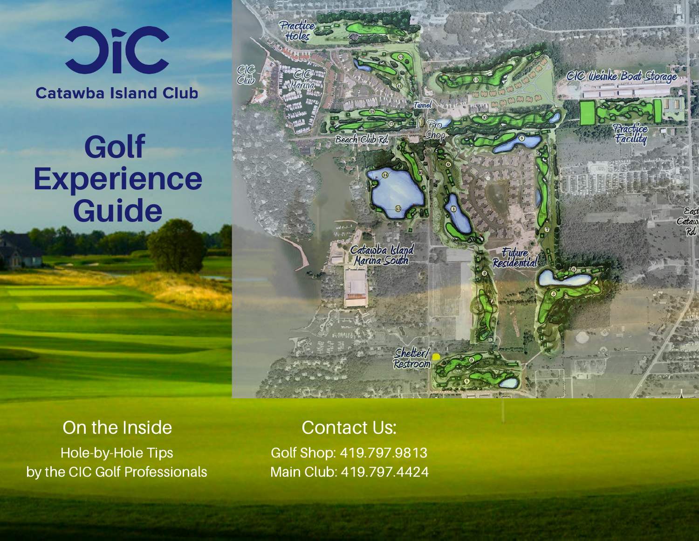## **Oic Catawba Island Club**

## **Golf Experience Guide**



Contact Us: Golf Shop: 419.797.9813 Main Club: 419.797.4424

Beach Club Rd

Catawba Island<br>Marina South

Shelter/<br>Restroom

Future<br>Residential

Practice<br>Holes

CIC Weinke Boat Storage

CIC<br>Club